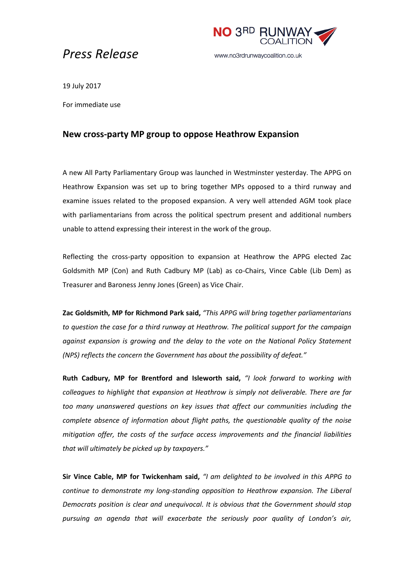## *Press Release*



19 July 2017

For immediate use

## **New cross-party MP group to oppose Heathrow Expansion**

A new All Party Parliamentary Group was launched in Westminster yesterday. The APPG on Heathrow Expansion was set up to bring together MPs opposed to a third runway and examine issues related to the proposed expansion. A very well attended AGM took place with parliamentarians from across the political spectrum present and additional numbers unable to attend expressing their interest in the work of the group.

Reflecting the cross-party opposition to expansion at Heathrow the APPG elected Zac Goldsmith MP (Con) and Ruth Cadbury MP (Lab) as co-Chairs, Vince Cable (Lib Dem) as Treasurer and Baroness Jenny Jones (Green) as Vice Chair.

**Zac Goldsmith, MP for Richmond Park said,** *"This APPG will bring together parliamentarians to question the case for a third runway at Heathrow. The political support for the campaign against expansion is growing and the delay to the vote on the National Policy Statement (NPS) reflects the concern the Government has about the possibility of defeat."*

**Ruth Cadbury, MP for Brentford and Isleworth said,** *"I look forward to working with colleagues to highlight that expansion at Heathrow is simply not deliverable. There are far too many unanswered questions on key issues that affect our communities including the complete absence of information about flight paths, the questionable quality of the noise mitigation offer, the costs of the surface access improvements and the financial liabilities that will ultimately be picked up by taxpayers."*

**Sir Vince Cable, MP for Twickenham said,** *"I am delighted to be involved in this APPG to continue to demonstrate my long-standing opposition to Heathrow expansion. The Liberal Democrats position is clear and unequivocal. It is obvious that the Government should stop pursuing an agenda that will exacerbate the seriously poor quality of London's air,*